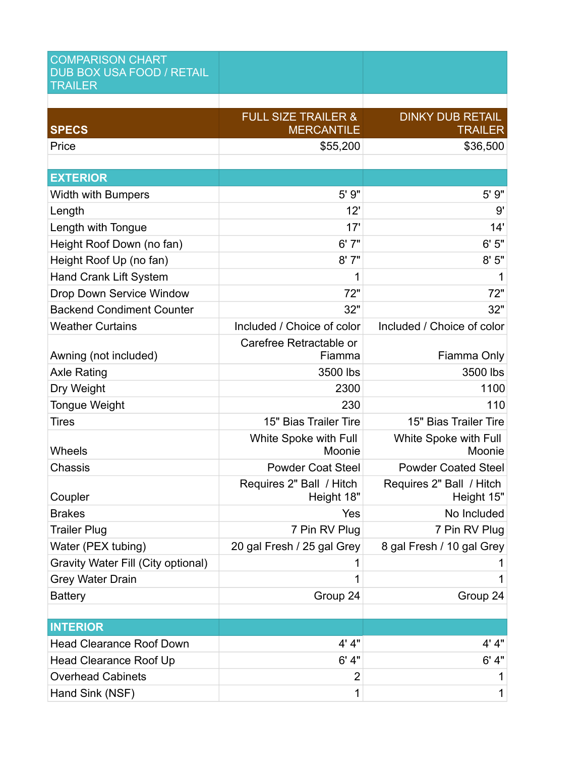| <b>COMPARISON CHART</b><br><b>DUB BOX USA FOOD / RETAIL</b><br><b>TRAILER</b> |                                                     |                                           |
|-------------------------------------------------------------------------------|-----------------------------------------------------|-------------------------------------------|
|                                                                               |                                                     |                                           |
| <b>SPECS</b>                                                                  | <b>FULL SIZE TRAILER &amp;</b><br><b>MERCANTILE</b> | <b>DINKY DUB RETAIL</b><br><b>TRAILER</b> |
| Price                                                                         | \$55,200                                            | \$36,500                                  |
|                                                                               |                                                     |                                           |
| <b>EXTERIOR</b>                                                               |                                                     |                                           |
| <b>Width with Bumpers</b>                                                     | 5' 9"                                               | 5' 9"                                     |
| Length                                                                        | 12'                                                 | 9'                                        |
| Length with Tongue                                                            | 17'                                                 | 14'                                       |
| Height Roof Down (no fan)                                                     | 6'7''                                               | 6'5''                                     |
| Height Roof Up (no fan)                                                       | 8'7''                                               | 8'5''                                     |
| Hand Crank Lift System                                                        | 1                                                   |                                           |
| Drop Down Service Window                                                      | 72"                                                 | 72"                                       |
| <b>Backend Condiment Counter</b>                                              | 32"                                                 | 32"                                       |
| <b>Weather Curtains</b>                                                       | Included / Choice of color                          | Included / Choice of color                |
|                                                                               | Carefree Retractable or                             |                                           |
| Awning (not included)                                                         | Fiamma                                              | Fiamma Only                               |
| <b>Axle Rating</b>                                                            | 3500 lbs                                            | 3500 lbs                                  |
| Dry Weight                                                                    | 2300                                                | 1100                                      |
| <b>Tongue Weight</b>                                                          | 230                                                 | 110                                       |
| <b>Tires</b>                                                                  | 15" Bias Trailer Tire                               | 15" Bias Trailer Tire                     |
| Wheels                                                                        | White Spoke with Full<br>Moonie                     | White Spoke with Full<br>Moonie           |
| Chassis                                                                       | <b>Powder Coat Steel</b>                            | <b>Powder Coated Steel</b>                |
| Coupler                                                                       | Requires 2" Ball / Hitch<br>Height 18"              | Requires 2" Ball / Hitch<br>Height 15"    |
| <b>Brakes</b>                                                                 | Yes                                                 | No Included                               |
| <b>Trailer Plug</b>                                                           | 7 Pin RV Plug                                       | 7 Pin RV Plug                             |
| Water (PEX tubing)                                                            | 20 gal Fresh / 25 gal Grey                          | 8 gal Fresh / 10 gal Grey                 |
| Gravity Water Fill (City optional)                                            | 1                                                   |                                           |
| <b>Grey Water Drain</b>                                                       | 1                                                   |                                           |
| <b>Battery</b>                                                                | Group 24                                            | Group 24                                  |
|                                                                               |                                                     |                                           |
| <b>INTERIOR</b>                                                               |                                                     |                                           |
| <b>Head Clearance Roof Down</b>                                               | 4' 4"                                               | 4' 4"                                     |
| Head Clearance Roof Up                                                        | 6' 4''                                              | 6' 4"                                     |
| <b>Overhead Cabinets</b>                                                      | $\overline{2}$                                      | 1                                         |
| Hand Sink (NSF)                                                               | 1                                                   | 1                                         |